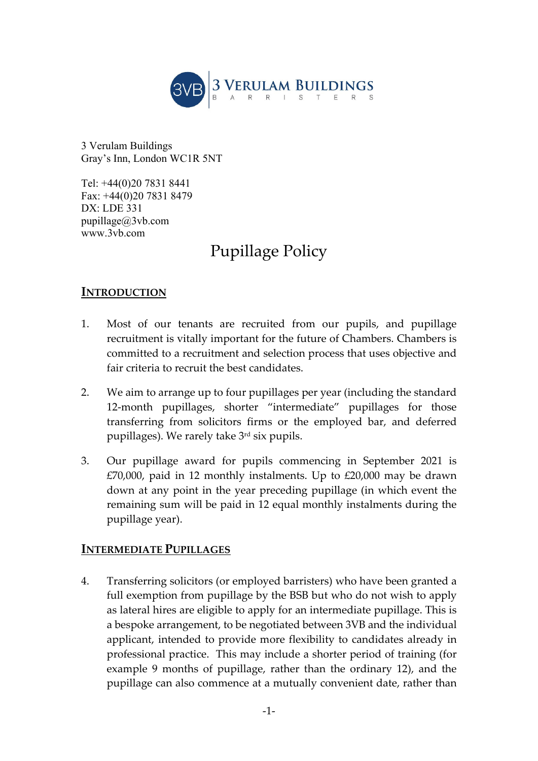

3 Verulam Buildings Gray's Inn, London WC1R 5NT

Tel: +44(0)20 7831 8441 Fax: +44(0)20 7831 8479 DX: LDE 331 pupillage@3vb.com www.3vb.com

# Pupillage Policy

## **INTRODUCTION**

- 1. Most of our tenants are recruited from our pupils, and pupillage recruitment is vitally important for the future of Chambers. Chambers is committed to a recruitment and selection process that uses objective and fair criteria to recruit the best candidates.
- 2. We aim to arrange up to four pupillages per year (including the standard 12-month pupillages, shorter "intermediate" pupillages for those transferring from solicitors firms or the employed bar, and deferred pupillages). We rarely take 3<sup>rd</sup> six pupils.
- 3. Our pupillage award for pupils commencing in September 2021 is  $£70,000$ , paid in 12 monthly instalments. Up to  $£20,000$  may be drawn down at any point in the year preceding pupillage (in which event the remaining sum will be paid in 12 equal monthly instalments during the pupillage year).

## **INTERMEDIATE PUPILLAGES**

4. Transferring solicitors (or employed barristers) who have been granted a full exemption from pupillage by the BSB but who do not wish to apply as lateral hires are eligible to apply for an intermediate pupillage. This is a bespoke arrangement, to be negotiated between 3VB and the individual applicant, intended to provide more flexibility to candidates already in professional practice. This may include a shorter period of training (for example 9 months of pupillage, rather than the ordinary 12), and the pupillage can also commence at a mutually convenient date, rather than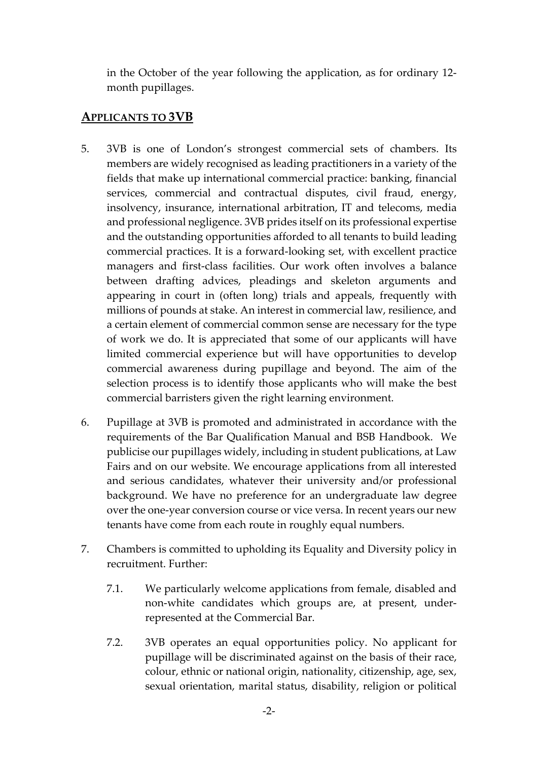in the October of the year following the application, as for ordinary 12‐ month pupillages.

#### **APPLICANTS TO 3VB**

- 5. 3VB is one of London's strongest commercial sets of chambers. Its members are widely recognised as leading practitioners in a variety of the fields that make up international commercial practice: banking, financial services, commercial and contractual disputes, civil fraud, energy, insolvency, insurance, international arbitration, IT and telecoms, media and professional negligence. 3VB prides itself on its professional expertise and the outstanding opportunities afforded to all tenants to build leading commercial practices. It is a forward‐looking set, with excellent practice managers and first-class facilities. Our work often involves a balance between drafting advices, pleadings and skeleton arguments and appearing in court in (often long) trials and appeals, frequently with millions of pounds at stake. An interest in commercial law, resilience, and a certain element of commercial common sense are necessary for the type of work we do. It is appreciated that some of our applicants will have limited commercial experience but will have opportunities to develop commercial awareness during pupillage and beyond. The aim of the selection process is to identify those applicants who will make the best commercial barristers given the right learning environment.
- 6. Pupillage at 3VB is promoted and administrated in accordance with the requirements of the Bar Qualification Manual and BSB Handbook. We publicise our pupillages widely, including in student publications, at Law Fairs and on our website. We encourage applications from all interested and serious candidates, whatever their university and/or professional background. We have no preference for an undergraduate law degree over the one‐year conversion course or vice versa. In recent years our new tenants have come from each route in roughly equal numbers.
- 7. Chambers is committed to upholding its Equality and Diversity policy in recruitment. Further:
	- 7.1. We particularly welcome applications from female, disabled and non‐white candidates which groups are, at present, under‐ represented at the Commercial Bar.
	- 7.2. 3VB operates an equal opportunities policy. No applicant for pupillage will be discriminated against on the basis of their race, colour, ethnic or national origin, nationality, citizenship, age, sex, sexual orientation, marital status, disability, religion or political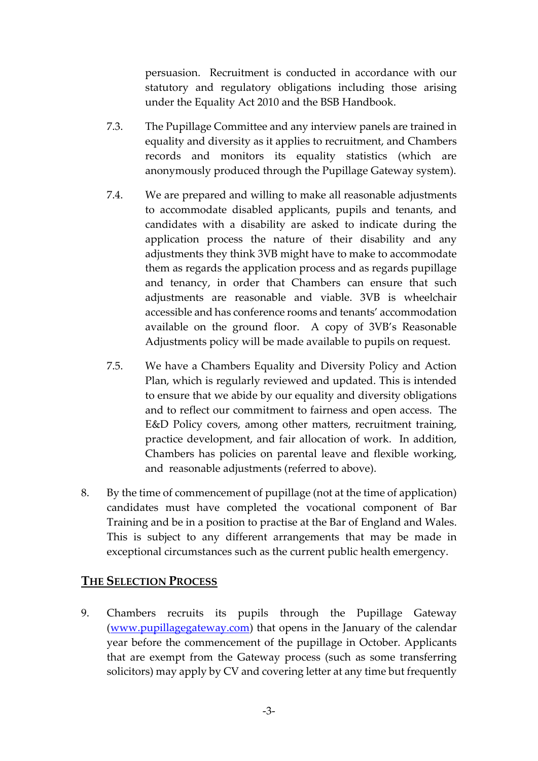persuasion. Recruitment is conducted in accordance with our statutory and regulatory obligations including those arising under the Equality Act 2010 and the BSB Handbook.

- 7.3. The Pupillage Committee and any interview panels are trained in equality and diversity as it applies to recruitment, and Chambers records and monitors its equality statistics (which are anonymously produced through the Pupillage Gateway system).
- 7.4. We are prepared and willing to make all reasonable adjustments to accommodate disabled applicants, pupils and tenants, and candidates with a disability are asked to indicate during the application process the nature of their disability and any adjustments they think 3VB might have to make to accommodate them as regards the application process and as regards pupillage and tenancy, in order that Chambers can ensure that such adjustments are reasonable and viable. 3VB is wheelchair accessible and has conference rooms and tenants' accommodation available on the ground floor. A copy of 3VB's Reasonable Adjustments policy will be made available to pupils on request.
- 7.5. We have a Chambers Equality and Diversity Policy and Action Plan, which is regularly reviewed and updated. This is intended to ensure that we abide by our equality and diversity obligations and to reflect our commitment to fairness and open access. The E&D Policy covers, among other matters, recruitment training, practice development, and fair allocation of work. In addition, Chambers has policies on parental leave and flexible working, and reasonable adjustments (referred to above).
- 8. By the time of commencement of pupillage (not at the time of application) candidates must have completed the vocational component of Bar Training and be in a position to practise at the Bar of England and Wales. This is subject to any different arrangements that may be made in exceptional circumstances such as the current public health emergency.

## **THE SELECTION PROCESS**

9. Chambers recruits its pupils through the Pupillage Gateway (www.pupillagegateway.com) that opens in the January of the calendar year before the commencement of the pupillage in October. Applicants that are exempt from the Gateway process (such as some transferring solicitors) may apply by CV and covering letter at any time but frequently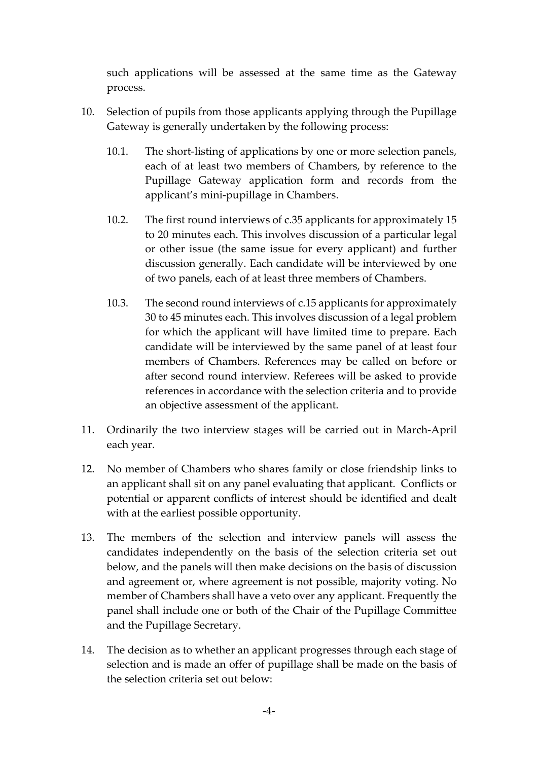such applications will be assessed at the same time as the Gateway process.

- 10. Selection of pupils from those applicants applying through the Pupillage Gateway is generally undertaken by the following process:
	- 10.1. The short-listing of applications by one or more selection panels, each of at least two members of Chambers, by reference to the Pupillage Gateway application form and records from the applicant's mini‐pupillage in Chambers.
	- 10.2. The first round interviews of c.35 applicants for approximately 15 to 20 minutes each. This involves discussion of a particular legal or other issue (the same issue for every applicant) and further discussion generally. Each candidate will be interviewed by one of two panels, each of at least three members of Chambers.
	- 10.3. The second round interviews of c.15 applicants for approximately 30 to 45 minutes each. This involves discussion of a legal problem for which the applicant will have limited time to prepare. Each candidate will be interviewed by the same panel of at least four members of Chambers. References may be called on before or after second round interview. Referees will be asked to provide references in accordance with the selection criteria and to provide an objective assessment of the applicant.
- 11. Ordinarily the two interview stages will be carried out in March‐April each year.
- 12. No member of Chambers who shares family or close friendship links to an applicant shall sit on any panel evaluating that applicant. Conflicts or potential or apparent conflicts of interest should be identified and dealt with at the earliest possible opportunity.
- 13. The members of the selection and interview panels will assess the candidates independently on the basis of the selection criteria set out below, and the panels will then make decisions on the basis of discussion and agreement or, where agreement is not possible, majority voting. No member of Chambers shall have a veto over any applicant. Frequently the panel shall include one or both of the Chair of the Pupillage Committee and the Pupillage Secretary.
- 14. The decision as to whether an applicant progresses through each stage of selection and is made an offer of pupillage shall be made on the basis of the selection criteria set out below: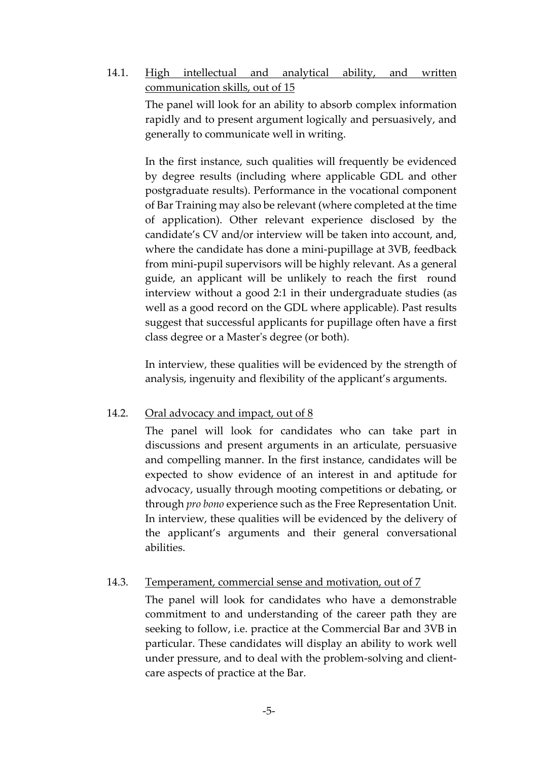14.1. High intellectual and analytical ability, and written communication skills, out of 15

> The panel will look for an ability to absorb complex information rapidly and to present argument logically and persuasively, and generally to communicate well in writing.

> In the first instance, such qualities will frequently be evidenced by degree results (including where applicable GDL and other postgraduate results). Performance in the vocational component of Bar Training may also be relevant (where completed at the time of application). Other relevant experience disclosed by the candidate's CV and/or interview will be taken into account, and, where the candidate has done a mini‐pupillage at 3VB, feedback from mini‐pupil supervisors will be highly relevant. As a general guide, an applicant will be unlikely to reach the first round interview without a good 2:1 in their undergraduate studies (as well as a good record on the GDL where applicable). Past results suggest that successful applicants for pupillage often have a first class degree or a Masterʹs degree (or both).

> In interview, these qualities will be evidenced by the strength of analysis, ingenuity and flexibility of the applicant's arguments.

#### 14.2. Oral advocacy and impact, out of 8

The panel will look for candidates who can take part in discussions and present arguments in an articulate, persuasive and compelling manner. In the first instance, candidates will be expected to show evidence of an interest in and aptitude for advocacy, usually through mooting competitions or debating, or through *pro bono* experience such as the Free Representation Unit. In interview, these qualities will be evidenced by the delivery of the applicant's arguments and their general conversational abilities.

#### 14.3. Temperament, commercial sense and motivation, out of 7

The panel will look for candidates who have a demonstrable commitment to and understanding of the career path they are seeking to follow, i.e. practice at the Commercial Bar and 3VB in particular. These candidates will display an ability to work well under pressure, and to deal with the problem‐solving and client‐ care aspects of practice at the Bar.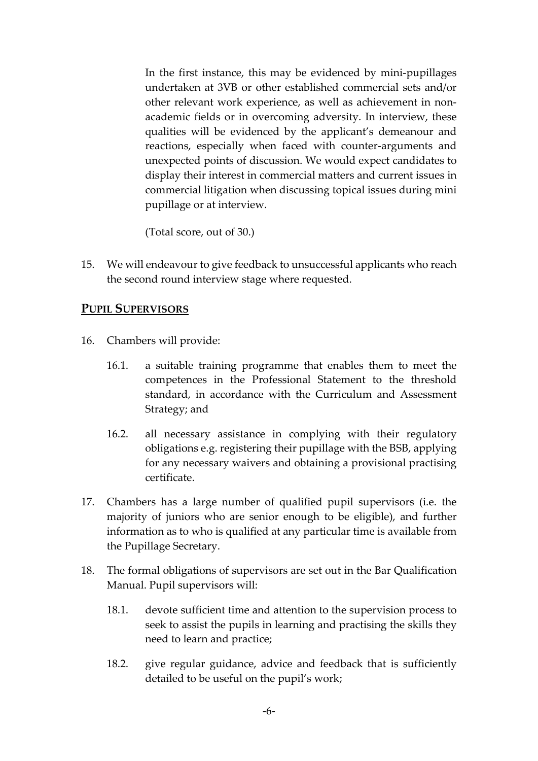In the first instance, this may be evidenced by mini‐pupillages undertaken at 3VB or other established commercial sets and/or other relevant work experience, as well as achievement in non‐ academic fields or in overcoming adversity. In interview, these qualities will be evidenced by the applicant's demeanour and reactions, especially when faced with counter‐arguments and unexpected points of discussion. We would expect candidates to display their interest in commercial matters and current issues in commercial litigation when discussing topical issues during mini pupillage or at interview.

(Total score, out of 30.)

15. We will endeavour to give feedback to unsuccessful applicants who reach the second round interview stage where requested.

#### **PUPIL SUPERVISORS**

- 16. Chambers will provide:
	- 16.1. a suitable training programme that enables them to meet the competences in the Professional Statement to the threshold standard, in accordance with the Curriculum and Assessment Strategy; and
	- 16.2. all necessary assistance in complying with their regulatory obligations e.g. registering their pupillage with the BSB, applying for any necessary waivers and obtaining a provisional practising certificate.
- 17. Chambers has a large number of qualified pupil supervisors (i.e. the majority of juniors who are senior enough to be eligible), and further information as to who is qualified at any particular time is available from the Pupillage Secretary.
- 18. The formal obligations of supervisors are set out in the Bar Qualification Manual. Pupil supervisors will:
	- 18.1. devote sufficient time and attention to the supervision process to seek to assist the pupils in learning and practising the skills they need to learn and practice;
	- 18.2. give regular guidance, advice and feedback that is sufficiently detailed to be useful on the pupil's work;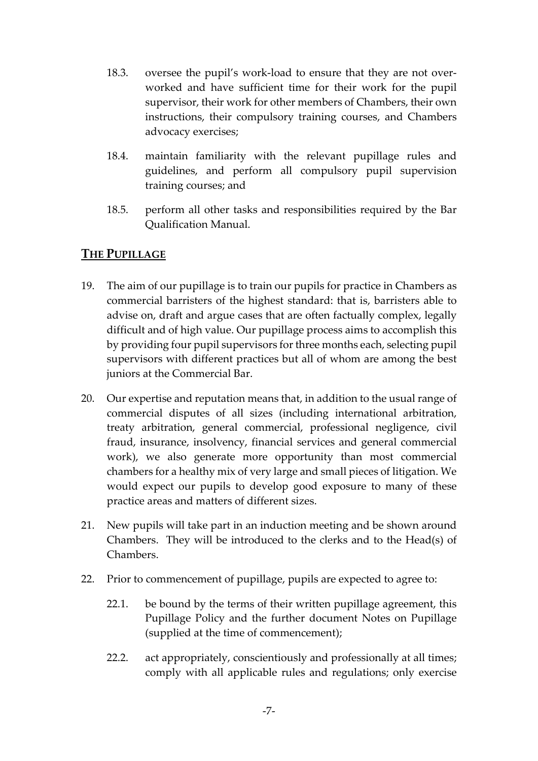- 18.3. oversee the pupil's work-load to ensure that they are not overworked and have sufficient time for their work for the pupil supervisor, their work for other members of Chambers, their own instructions, their compulsory training courses, and Chambers advocacy exercises;
- 18.4. maintain familiarity with the relevant pupillage rules and guidelines, and perform all compulsory pupil supervision training courses; and
- 18.5. perform all other tasks and responsibilities required by the Bar Qualification Manual.

## **THE PUPILLAGE**

- 19. The aim of our pupillage is to train our pupils for practice in Chambers as commercial barristers of the highest standard: that is, barristers able to advise on, draft and argue cases that are often factually complex, legally difficult and of high value. Our pupillage process aims to accomplish this by providing four pupil supervisors for three months each, selecting pupil supervisors with different practices but all of whom are among the best juniors at the Commercial Bar.
- 20. Our expertise and reputation means that, in addition to the usual range of commercial disputes of all sizes (including international arbitration, treaty arbitration, general commercial, professional negligence, civil fraud, insurance, insolvency, financial services and general commercial work), we also generate more opportunity than most commercial chambers for a healthy mix of very large and small pieces of litigation. We would expect our pupils to develop good exposure to many of these practice areas and matters of different sizes.
- 21. New pupils will take part in an induction meeting and be shown around Chambers. They will be introduced to the clerks and to the Head(s) of Chambers.
- 22. Prior to commencement of pupillage, pupils are expected to agree to:
	- 22.1. be bound by the terms of their written pupillage agreement, this Pupillage Policy and the further document Notes on Pupillage (supplied at the time of commencement);
	- 22.2. act appropriately, conscientiously and professionally at all times; comply with all applicable rules and regulations; only exercise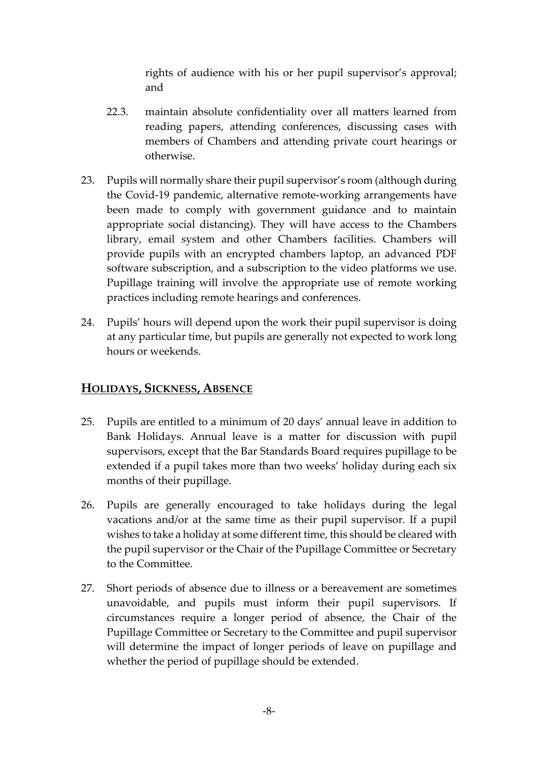rights of audience with his or her pupil supervisor's approval; and

- 22.3. maintain absolute confidentiality over all matters learned from reading papers, attending conferences, discussing cases with members of Chambers and attending private court hearings or otherwise.
- 23. Pupils will normally share their pupil supervisor's room (although during the Covid‐19 pandemic, alternative remote‐working arrangements have been made to comply with government guidance and to maintain appropriate social distancing). They will have access to the Chambers library, email system and other Chambers facilities. Chambers will provide pupils with an encrypted chambers laptop, an advanced PDF software subscription, and a subscription to the video platforms we use. Pupillage training will involve the appropriate use of remote working practices including remote hearings and conferences.
- 24. Pupils' hours will depend upon the work their pupil supervisor is doing at any particular time, but pupils are generally not expected to work long hours or weekends.

## **HOLIDAYS, SICKNESS, ABSENCE**

- 25. Pupils are entitled to a minimum of 20 days' annual leave in addition to Bank Holidays. Annual leave is a matter for discussion with pupil supervisors, except that the Bar Standards Board requires pupillage to be extended if a pupil takes more than two weeks' holiday during each six months of their pupillage.
- 26. Pupils are generally encouraged to take holidays during the legal vacations and/or at the same time as their pupil supervisor. If a pupil wishes to take a holiday at some different time, this should be cleared with the pupil supervisor or the Chair of the Pupillage Committee or Secretary to the Committee.
- 27. Short periods of absence due to illness or a bereavement are sometimes unavoidable, and pupils must inform their pupil supervisors. If circumstances require a longer period of absence, the Chair of the Pupillage Committee or Secretary to the Committee and pupil supervisor will determine the impact of longer periods of leave on pupillage and whether the period of pupillage should be extended.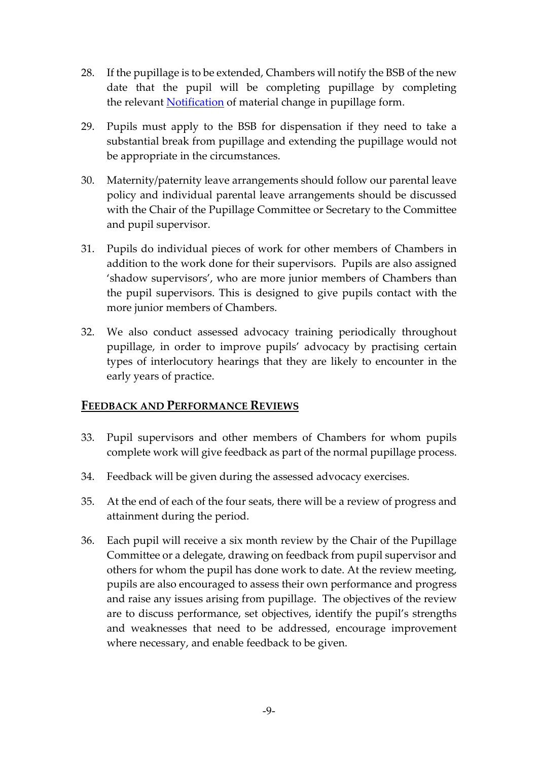- 28. If the pupillage is to be extended, Chambers will notify the BSB of the new date that the pupil will be completing pupillage by completing the relevant **Notification** of material change in pupillage form.
- 29. Pupils must apply to the BSB for dispensation if they need to take a substantial break from pupillage and extending the pupillage would not be appropriate in the circumstances.
- 30. Maternity/paternity leave arrangements should follow our parental leave policy and individual parental leave arrangements should be discussed with the Chair of the Pupillage Committee or Secretary to the Committee and pupil supervisor.
- 31. Pupils do individual pieces of work for other members of Chambers in addition to the work done for their supervisors. Pupils are also assigned 'shadow supervisors', who are more junior members of Chambers than the pupil supervisors. This is designed to give pupils contact with the more junior members of Chambers.
- 32. We also conduct assessed advocacy training periodically throughout pupillage, in order to improve pupils' advocacy by practising certain types of interlocutory hearings that they are likely to encounter in the early years of practice.

#### **FEEDBACK AND PERFORMANCE REVIEWS**

- 33. Pupil supervisors and other members of Chambers for whom pupils complete work will give feedback as part of the normal pupillage process.
- 34. Feedback will be given during the assessed advocacy exercises.
- 35. At the end of each of the four seats, there will be a review of progress and attainment during the period.
- 36. Each pupil will receive a six month review by the Chair of the Pupillage Committee or a delegate, drawing on feedback from pupil supervisor and others for whom the pupil has done work to date. At the review meeting, pupils are also encouraged to assess their own performance and progress and raise any issues arising from pupillage. The objectives of the review are to discuss performance, set objectives, identify the pupil's strengths and weaknesses that need to be addressed, encourage improvement where necessary, and enable feedback to be given.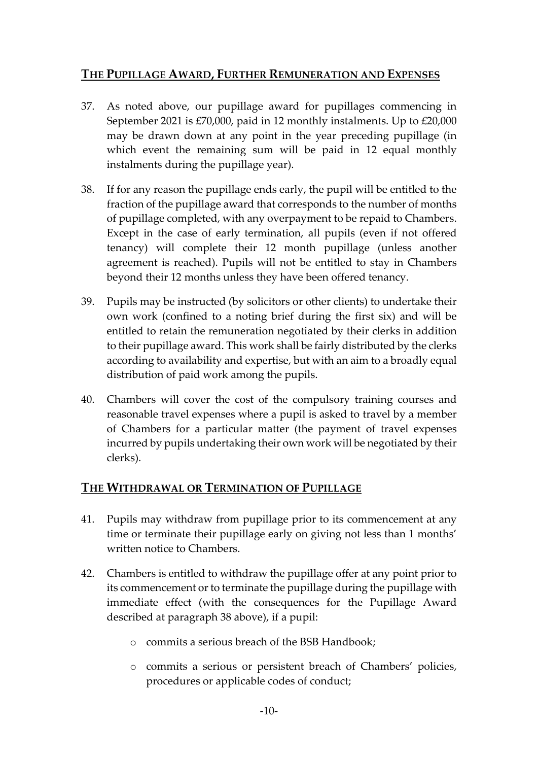## **THE PUPILLAGE AWARD, FURTHER REMUNERATION AND EXPENSES**

- 37. As noted above, our pupillage award for pupillages commencing in September 2021 is £70,000, paid in 12 monthly instalments. Up to £20,000 may be drawn down at any point in the year preceding pupillage (in which event the remaining sum will be paid in 12 equal monthly instalments during the pupillage year).
- 38. If for any reason the pupillage ends early, the pupil will be entitled to the fraction of the pupillage award that corresponds to the number of months of pupillage completed, with any overpayment to be repaid to Chambers. Except in the case of early termination, all pupils (even if not offered tenancy) will complete their 12 month pupillage (unless another agreement is reached). Pupils will not be entitled to stay in Chambers beyond their 12 months unless they have been offered tenancy.
- 39. Pupils may be instructed (by solicitors or other clients) to undertake their own work (confined to a noting brief during the first six) and will be entitled to retain the remuneration negotiated by their clerks in addition to their pupillage award. This work shall be fairly distributed by the clerks according to availability and expertise, but with an aim to a broadly equal distribution of paid work among the pupils.
- 40. Chambers will cover the cost of the compulsory training courses and reasonable travel expenses where a pupil is asked to travel by a member of Chambers for a particular matter (the payment of travel expenses incurred by pupils undertaking their own work will be negotiated by their clerks).

#### **THE WITHDRAWAL OR TERMINATION OF PUPILLAGE**

- 41. Pupils may withdraw from pupillage prior to its commencement at any time or terminate their pupillage early on giving not less than 1 months' written notice to Chambers.
- 42. Chambers is entitled to withdraw the pupillage offer at any point prior to its commencement or to terminate the pupillage during the pupillage with immediate effect (with the consequences for the Pupillage Award described at paragraph 38 above), if a pupil:
	- o commits a serious breach of the BSB Handbook;
	- o commits a serious or persistent breach of Chambers' policies, procedures or applicable codes of conduct;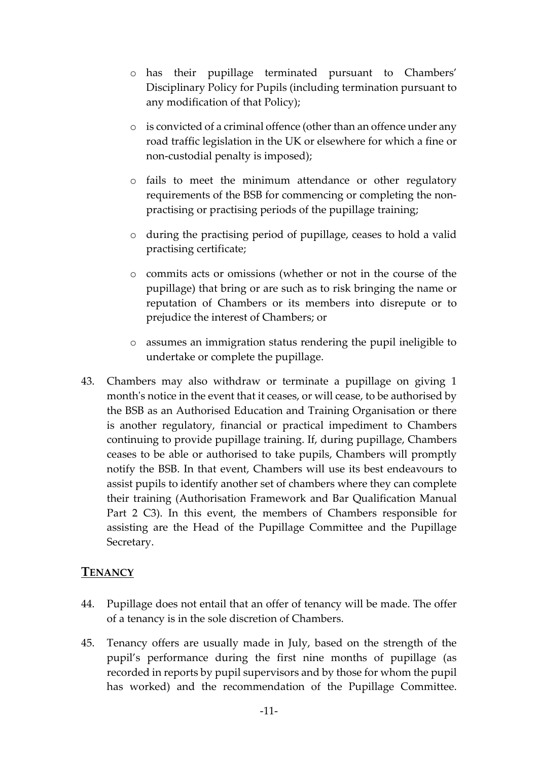- o has their pupillage terminated pursuant to Chambers' Disciplinary Policy for Pupils (including termination pursuant to any modification of that Policy);
- o is convicted of a criminal offence (other than an offence under any road traffic legislation in the UK or elsewhere for which a fine or non‐custodial penalty is imposed);
- o fails to meet the minimum attendance or other regulatory requirements of the BSB for commencing or completing the nonpractising or practising periods of the pupillage training;
- o during the practising period of pupillage, ceases to hold a valid practising certificate;
- o commits acts or omissions (whether or not in the course of the pupillage) that bring or are such as to risk bringing the name or reputation of Chambers or its members into disrepute or to prejudice the interest of Chambers; or
- o assumes an immigration status rendering the pupil ineligible to undertake or complete the pupillage.
- 43. Chambers may also withdraw or terminate a pupillage on giving 1 month's notice in the event that it ceases, or will cease, to be authorised by the BSB as an Authorised Education and Training Organisation or there is another regulatory, financial or practical impediment to Chambers continuing to provide pupillage training. If, during pupillage, Chambers ceases to be able or authorised to take pupils, Chambers will promptly notify the BSB. In that event, Chambers will use its best endeavours to assist pupils to identify another set of chambers where they can complete their training (Authorisation Framework and Bar Qualification Manual Part 2 C3). In this event, the members of Chambers responsible for assisting are the Head of the Pupillage Committee and the Pupillage Secretary.

#### **TENANCY**

- 44. Pupillage does not entail that an offer of tenancy will be made. The offer of a tenancy is in the sole discretion of Chambers.
- 45. Tenancy offers are usually made in July, based on the strength of the pupil's performance during the first nine months of pupillage (as recorded in reports by pupil supervisors and by those for whom the pupil has worked) and the recommendation of the Pupillage Committee.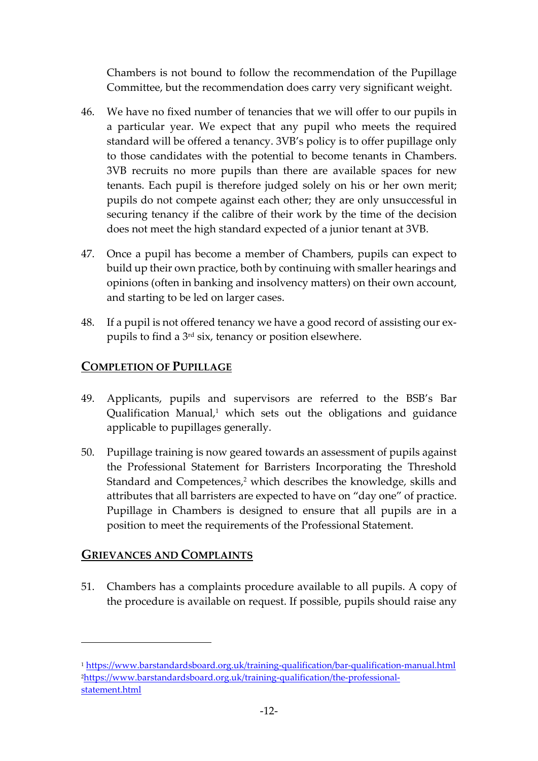Chambers is not bound to follow the recommendation of the Pupillage Committee, but the recommendation does carry very significant weight.

- 46. We have no fixed number of tenancies that we will offer to our pupils in a particular year. We expect that any pupil who meets the required standard will be offered a tenancy. 3VB's policy is to offer pupillage only to those candidates with the potential to become tenants in Chambers. 3VB recruits no more pupils than there are available spaces for new tenants. Each pupil is therefore judged solely on his or her own merit; pupils do not compete against each other; they are only unsuccessful in securing tenancy if the calibre of their work by the time of the decision does not meet the high standard expected of a junior tenant at 3VB.
- 47. Once a pupil has become a member of Chambers, pupils can expect to build up their own practice, both by continuing with smaller hearings and opinions (often in banking and insolvency matters) on their own account, and starting to be led on larger cases.
- 48. If a pupil is not offered tenancy we have a good record of assisting our ex‐ pupils to find a 3rd six, tenancy or position elsewhere.

## **COMPLETION OF PUPILLAGE**

- 49. Applicants, pupils and supervisors are referred to the BSB's Bar Qualification Manual, $1$  which sets out the obligations and guidance applicable to pupillages generally.
- 50. Pupillage training is now geared towards an assessment of pupils against the Professional Statement for Barristers Incorporating the Threshold Standard and Competences,<sup>2</sup> which describes the knowledge, skills and attributes that all barristers are expected to have on "day one" of practice. Pupillage in Chambers is designed to ensure that all pupils are in a position to meet the requirements of the Professional Statement.

## **GRIEVANCES AND COMPLAINTS**

51. Chambers has a complaints procedure available to all pupils. A copy of the procedure is available on request. If possible, pupils should raise any

<sup>1</sup> https://www.barstandardsboard.org.uk/training-qualification/bar-qualification-manual.html 2https://www.barstandardsboard.org.uk/training‐qualification/the‐professional‐ statement.html